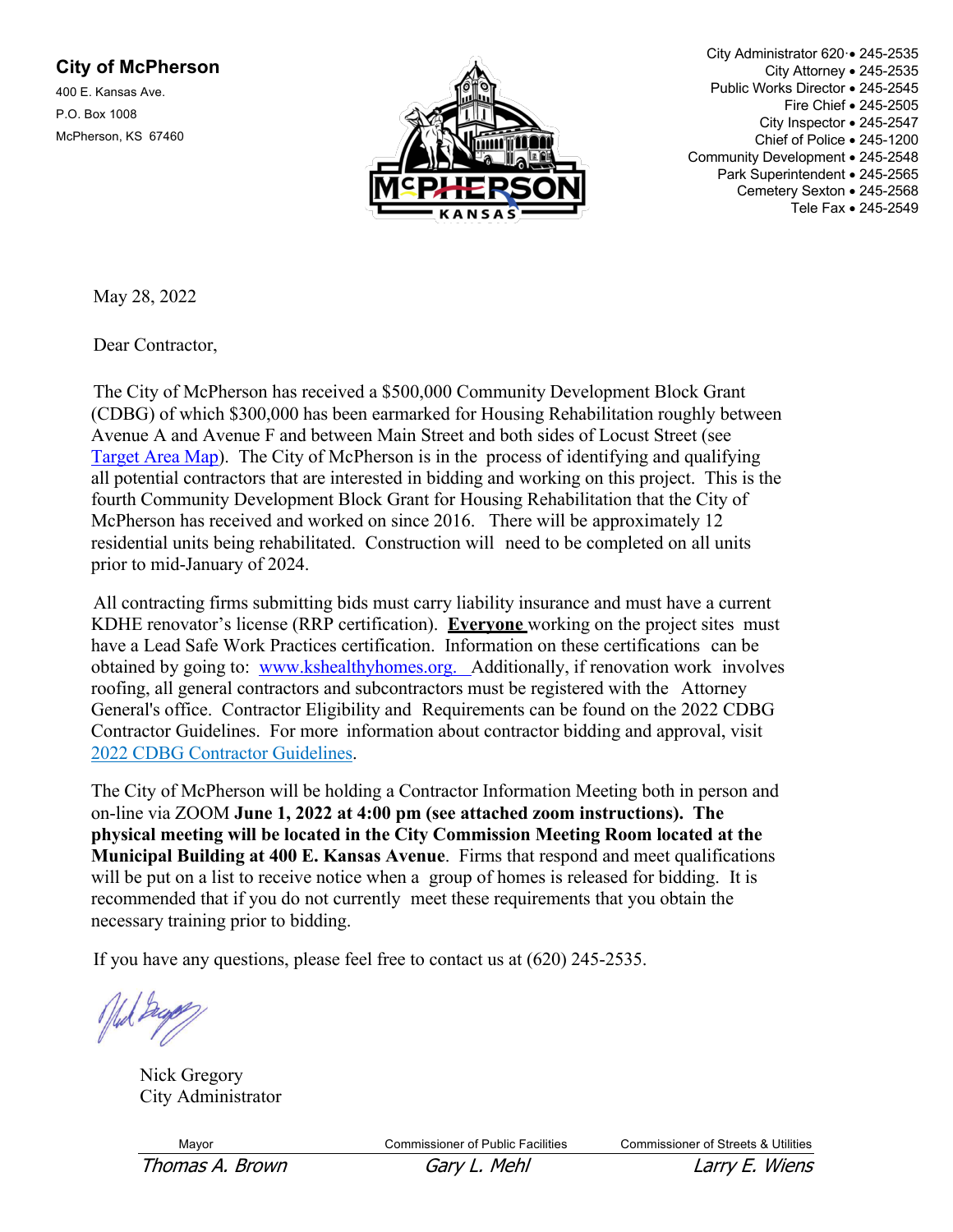## **City of McPherson**

400 E. Kansas Ave. P.O. Box 1008 McPherson, KS 67460



City Administrator 620·• 245-2535 City Attorney • 245-2535 Public Works Director • 245-2545 Fire Chief • 245-2505 City Inspector • 245-2547 Chief of Police • 245-1200 Community Development • 245-2548 Park Superintendent • 245-2565 Cemetery Sexton • 245-2568 Tele Fax • 245-2549

May 28, 2022

Dear Contractor,

The City of McPherson has received a \$500,000 Community Development Block Grant (CDBG) of which \$300,000 has been earmarked for Housing Rehabilitation roughly between Avenue A and Avenue F and between Main Street and both sides of Locust Street (see Target Area Map). The City of McPherson is in the process of identifying and qualifying all potential contractors that are interested in bidding and working on this project. This is the fourth Community Development Block Grant for Housing Rehabilitation that the City of McPherson has received and worked on since 2016. There will be approximately 12 residential units being rehabilitated. Construction will need to be completed on all units prior to mid-January of 2024.

All contracting firms submitting bids must carry liability insurance and must have a current KDHE renovator's license (RRP certification). **Everyone** working on the project sites must have a Lead Safe Work Practices certification. Information on these certifications can be obtained by going to: www.kshealthyhomes.org. Additionally, if renovation work involves roofing, all general contractors and subcontractors must be registered with the Attorney General's office. Contractor Eligibility and Requirements can be found on the 2022 CDBG Contractor Guidelines. For more information about contractor bidding and approval, visit 2022 CDBG Contractor Guidelines.

The City of McPherson will be holding a Contractor Information Meeting both in person and on-line via ZOOM **June 1, 2022 at 4:00 pm (see attached zoom instructions). The physical meeting will be located in the City Commission Meeting Room located at the Municipal Building at 400 E. Kansas Avenue**. Firms that respond and meet qualifications will be put on a list to receive notice when a group of homes is released for bidding. It is recommended that if you do not currently meet these requirements that you obtain the necessary training prior to bidding.

If you have any questions, please feel free to contact us at (620) 245-2535.

Nick Gregory City Administrator

Mayor Commissioner of Public Facilities Commissioner of Streets & Utilities

Thomas A. Brown Gary L. Mehl Example 20 Larry E. Wiens